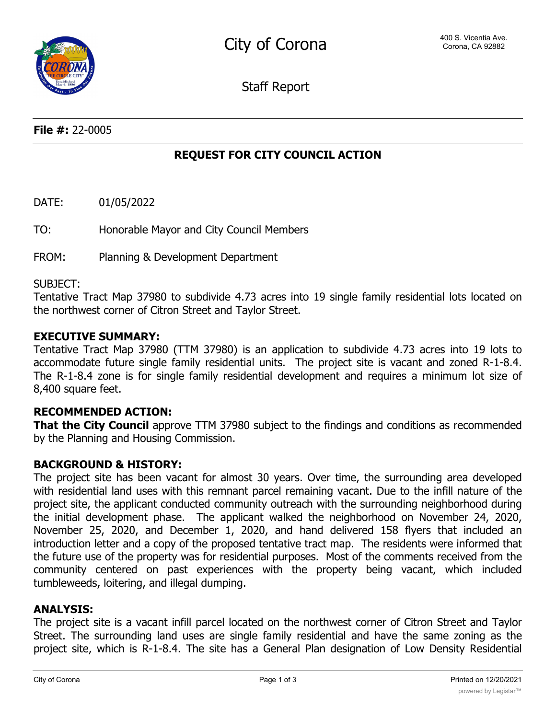Staff Report

**File #:** 22-0005

# **REQUEST FOR CITY COUNCIL ACTION**

DATE: 01/05/2022

TO: Honorable Mayor and City Council Members

FROM: Planning & Development Department

#### SUBJECT:

Tentative Tract Map 37980 to subdivide 4.73 acres into 19 single family residential lots located on the northwest corner of Citron Street and Taylor Street.

#### **EXECUTIVE SUMMARY:**

Tentative Tract Map 37980 (TTM 37980) is an application to subdivide 4.73 acres into 19 lots to accommodate future single family residential units. The project site is vacant and zoned R-1-8.4. The R-1-8.4 zone is for single family residential development and requires a minimum lot size of 8,400 square feet.

# **RECOMMENDED ACTION:**

**That the City Council** approve TTM 37980 subject to the findings and conditions as recommended by the Planning and Housing Commission.

# **BACKGROUND & HISTORY:**

The project site has been vacant for almost 30 years. Over time, the surrounding area developed with residential land uses with this remnant parcel remaining vacant. Due to the infill nature of the project site, the applicant conducted community outreach with the surrounding neighborhood during the initial development phase. The applicant walked the neighborhood on November 24, 2020, November 25, 2020, and December 1, 2020, and hand delivered 158 flyers that included an introduction letter and a copy of the proposed tentative tract map. The residents were informed that the future use of the property was for residential purposes. Most of the comments received from the community centered on past experiences with the property being vacant, which included tumbleweeds, loitering, and illegal dumping.

#### **ANALYSIS:**

The project site is a vacant infill parcel located on the northwest corner of Citron Street and Taylor Street. The surrounding land uses are single family residential and have the same zoning as the project site, which is R-1-8.4. The site has a General Plan designation of Low Density Residential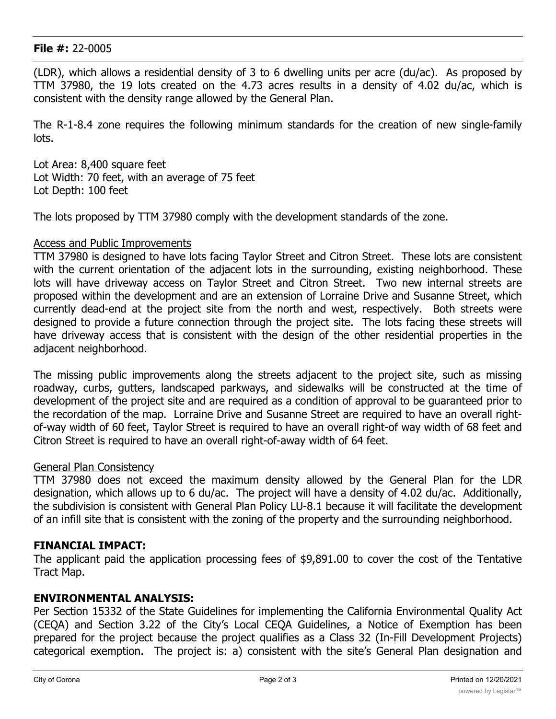#### **File #:** 22-0005

(LDR), which allows a residential density of 3 to 6 dwelling units per acre (du/ac). As proposed by TTM 37980, the 19 lots created on the 4.73 acres results in a density of 4.02 du/ac, which is consistent with the density range allowed by the General Plan.

The R-1-8.4 zone requires the following minimum standards for the creation of new single-family lots.

Lot Area: 8,400 square feet Lot Width: 70 feet, with an average of 75 feet Lot Depth: 100 feet

The lots proposed by TTM 37980 comply with the development standards of the zone.

#### Access and Public Improvements

TTM 37980 is designed to have lots facing Taylor Street and Citron Street. These lots are consistent with the current orientation of the adjacent lots in the surrounding, existing neighborhood. These lots will have driveway access on Taylor Street and Citron Street. Two new internal streets are proposed within the development and are an extension of Lorraine Drive and Susanne Street, which currently dead-end at the project site from the north and west, respectively. Both streets were designed to provide a future connection through the project site. The lots facing these streets will have driveway access that is consistent with the design of the other residential properties in the adjacent neighborhood.

The missing public improvements along the streets adjacent to the project site, such as missing roadway, curbs, gutters, landscaped parkways, and sidewalks will be constructed at the time of development of the project site and are required as a condition of approval to be guaranteed prior to the recordation of the map. Lorraine Drive and Susanne Street are required to have an overall rightof-way width of 60 feet, Taylor Street is required to have an overall right-of way width of 68 feet and Citron Street is required to have an overall right-of-away width of 64 feet.

# General Plan Consistency

TTM 37980 does not exceed the maximum density allowed by the General Plan for the LDR designation, which allows up to 6 du/ac. The project will have a density of 4.02 du/ac. Additionally, the subdivision is consistent with General Plan Policy LU-8.1 because it will facilitate the development of an infill site that is consistent with the zoning of the property and the surrounding neighborhood.

# **FINANCIAL IMPACT:**

The applicant paid the application processing fees of \$9,891.00 to cover the cost of the Tentative Tract Map.

# **ENVIRONMENTAL ANALYSIS:**

Per Section 15332 of the State Guidelines for implementing the California Environmental Quality Act (CEQA) and Section 3.22 of the City's Local CEQA Guidelines, a Notice of Exemption has been prepared for the project because the project qualifies as a Class 32 (In-Fill Development Projects) categorical exemption. The project is: a) consistent with the site's General Plan designation and